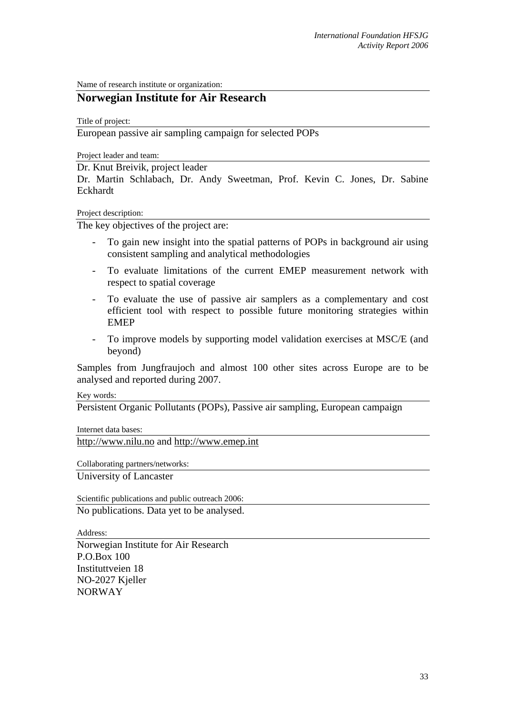Name of research institute or organization:

## **Norwegian Institute for Air Research**

Title of project:

European passive air sampling campaign for selected POPs

Project leader and team:

Dr. Knut Breivik, project leader

Dr. Martin Schlabach, Dr. Andy Sweetman, Prof. Kevin C. Jones, Dr. Sabine Eckhardt

Project description:

The key objectives of the project are:

- To gain new insight into the spatial patterns of POPs in background air using consistent sampling and analytical methodologies
- To evaluate limitations of the current EMEP measurement network with respect to spatial coverage
- To evaluate the use of passive air samplers as a complementary and cost efficient tool with respect to possible future monitoring strategies within EMEP
- To improve models by supporting model validation exercises at MSC/E (and beyond)

Samples from Jungfraujoch and almost 100 other sites across Europe are to be analysed and reported during 2007.

Key words:

Persistent Organic Pollutants (POPs), Passive air sampling, European campaign

Internet data bases:

http://www.nilu.no and http://www.emep.int

Collaborating partners/networks:

University of Lancaster

Scientific publications and public outreach 2006: No publications. Data yet to be analysed.

Address:

Norwegian Institute for Air Research P.O.Box 100 Instituttveien 18 NO-2027 Kjeller NORWAY